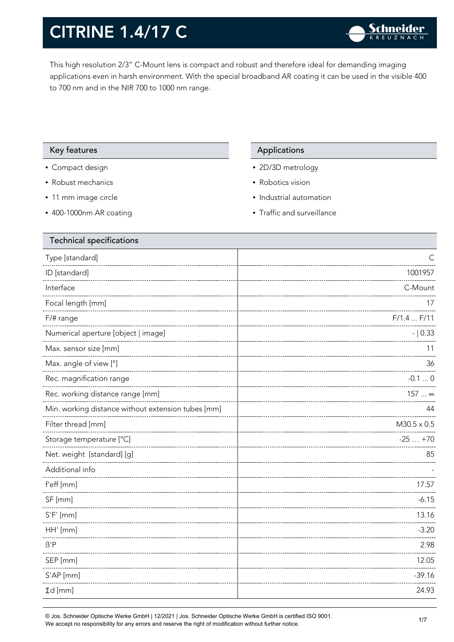This high resolution 2/3" C-Mount lens is compact and robust and therefore ideal for demanding imaging applications even in harsh environment. With the special broadband AR coating it can be used in the visible 400 to 700 nm and in the NIR 700 to 1000 nm range.

#### Key features **Applications** Applications

- Compact design
- Robust mechanics
- 11 mm image circle
- 400-1000nm AR coating

- 2D/3D metrology
- Robotics vision
- Industrial automation
- Traffic and surveillance

| ⊖                  |
|--------------------|
| 1001957            |
| C-Mount            |
| 17                 |
| F/1.4 F/11         |
| $- 0.33$           |
| 11                 |
| 36                 |
| $-0.10$            |
| 157  ∞             |
| 44                 |
| $M30.5 \times 0.5$ |
| $-25+70$           |
| 85                 |
|                    |
| 17.57              |
| $-6.15$            |
| 13.16              |
| $-3.20$            |
| 2.98               |
| 12.05              |
| $-39.16$           |
| 24.93              |
|                    |

© Jos. Schneider Optische Werke GmbH | 12/2021 | Jos. Schneider Optische Werke GmbH is certified ISO 9001. We accept no responsibility for any errors and reserve the right of modification without further notice.<br>We accept no responsibility for any errors and reserve the right of modification without further notice.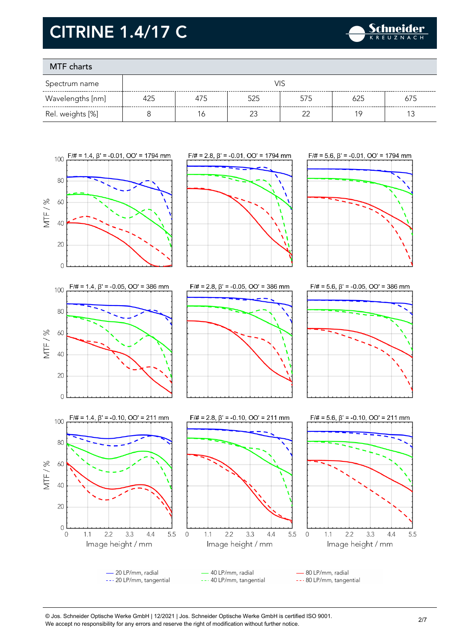

### MTF charts

| Spectrum name    |     |     |     |        |     |     |
|------------------|-----|-----|-----|--------|-----|-----|
| Wavelengths [nm] | 425 | 4/5 | 525 | 575    | 625 | 675 |
| Rel. weights [%] |     |     |     | $\sim$ |     |     |



© Jos. Schneider Optische Werke GmbH | 12/2021 | Jos. Schneider Optische Werke GmbH is certified ISO 9001. We accept no responsibility for any errors and reserve the right of modification without further notice.<br>We accept no responsibility for any errors and reserve the right of modification without further notice.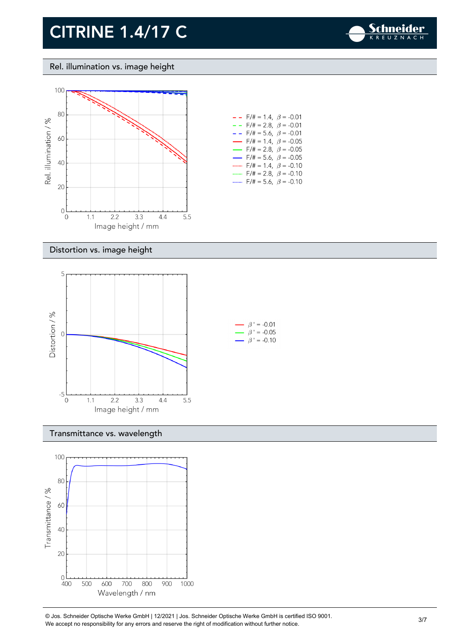

Rel. illumination vs. image height



| $F/\ddot{\pi} = 1.4$ , $\beta = -0.01$<br>- -                       |
|---------------------------------------------------------------------|
| $F/\ddot{}=2.8,~\beta = -0.01$<br>- -                               |
| $F/\ddot{=} = 5.6, \ \beta = -0.01$<br>$ -$                         |
| $F/\ddot{\pi} = 1.4, \; \beta = -0.05$<br>$\overline{\phantom{0}}$  |
| $F/\ddot{\pi} = 2.8, \ \ \beta = -0.05$<br>$\overline{\phantom{0}}$ |
| $F/\ddot{\pi} = 5.6, \ \ \beta = -0.05$<br>$\overline{\phantom{0}}$ |
| $F/\ddot{=} = 1.4, \ \beta = -0.10$<br>                             |
| $F/\ddot{\pi} = 2.8, \ \beta = -0.10$                               |
| $F/\ddot{=} = 5.6, \ \beta = -0.10$                                 |
|                                                                     |

#### Distortion vs. image height



#### Transmittance vs. wavelength



© Jos. Schneider Optische Werke GmbH | 12/2021 | Jos. Schneider Optische Werke GmbH is certified ISO 9001. We accept no responsibility for any errors and reserve the right of modification without further notice.<br>We accept no responsibility for any errors and reserve the right of modification without further notice.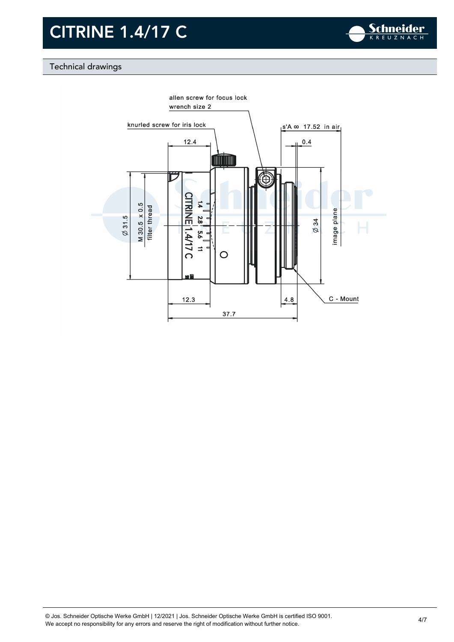

### Technical drawings

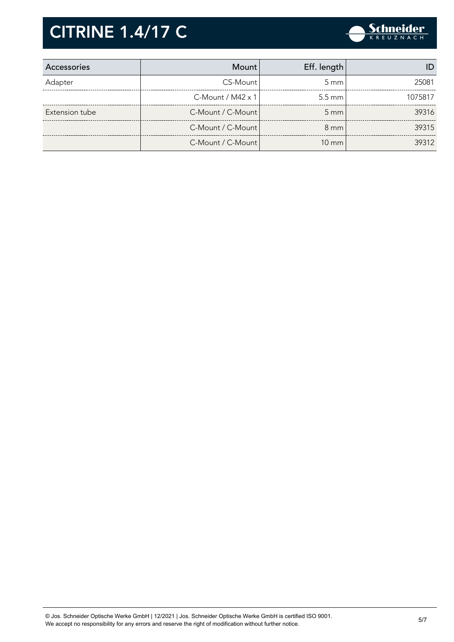

| Accessories    | Mount                       | Eff. length      |         |
|----------------|-----------------------------|------------------|---------|
| Adapter        | CS-Mount                    | $5 \text{ mm}$   | 25081   |
|                | $C$ -Mount / M42 $\times$ 1 | $5.5 \text{ mm}$ | 1075817 |
| Extension tube | C-Mount / C-Mount           | $5 \text{ mm}$   | 39316   |
|                | C-Mount / C-Mount           | $8 \text{ mm}$   | 39315   |
|                | C-Mount / C-Mount           | $10 \text{ mm}$  | 39312   |